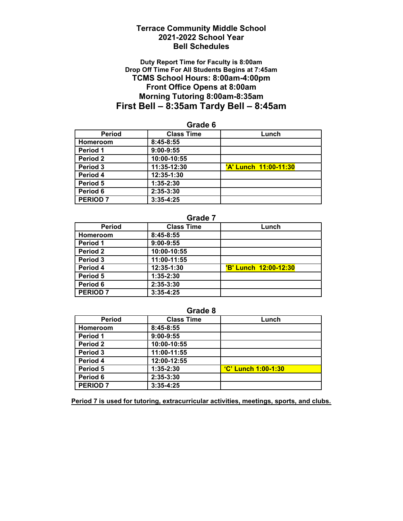## Terrace Community Middle School 2021-2022 School Year Bell Schedules

### Duty Report Time for Faculty is 8:00am Drop Off Time For All Students Begins at 7:45am TCMS School Hours: 8:00am-4:00pm Front Office Opens at 8:00am Morning Tutoring 8:00am-8:35am First Bell – 8:35am Tardy Bell – 8:45am

| <b>Period</b>   | <b>Class Time</b> | Lunch                 |
|-----------------|-------------------|-----------------------|
| <b>Homeroom</b> | $8:45-8:55$       |                       |
| Period 1        | $9:00-9:55$       |                       |
| Period 2        | 10:00-10:55       |                       |
| Period 3        | 11:35-12:30       | 'A' Lunch 11:00-11:30 |
| Period 4        | 12:35-1:30        |                       |
| Period 5        | 1:35-2:30         |                       |
| Period 6        | 2:35-3:30         |                       |
| <b>PERIOD 7</b> | $3:35-4:25$       |                       |

## Grade 6

### Grade 7

| <b>Period</b>   | <b>Class Time</b> | Lunch                        |
|-----------------|-------------------|------------------------------|
| Homeroom        | 8:45-8:55         |                              |
| Period 1        | $9:00-9:55$       |                              |
| Period 2        | 10:00-10:55       |                              |
| Period 3        | 11:00-11:55       |                              |
| Period 4        | 12:35-1:30        | <b>'B' Lunch 12:00-12:30</b> |
| Period 5        | $1:35-2:30$       |                              |
| Period 6        | 2:35-3:30         |                              |
| <b>PERIOD 7</b> | $3:35-4:25$       |                              |

### Grade 8

| <b>Period</b>   | <b>Class Time</b> | Lunch                      |
|-----------------|-------------------|----------------------------|
| Homeroom        | $8:45-8:55$       |                            |
| Period 1        | $9:00-9:55$       |                            |
| Period 2        | 10:00-10:55       |                            |
| Period 3        | 11:00-11:55       |                            |
| Period 4        | 12:00-12:55       |                            |
| Period 5        | $1:35-2:30$       | <b>'C' Lunch 1:00-1:30</b> |
| Period 6        | 2:35-3:30         |                            |
| <b>PERIOD 7</b> | $3:35-4:25$       |                            |

Period 7 is used for tutoring, extracurricular activities, meetings, sports, and clubs.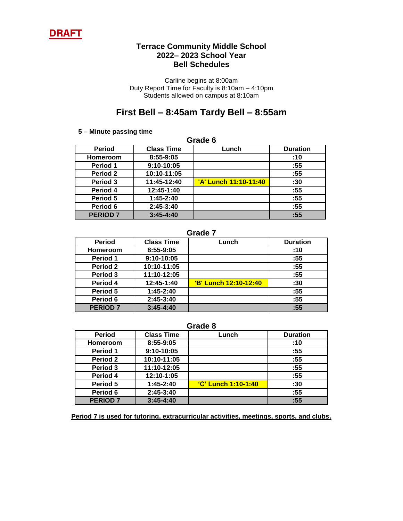

### **Terrace Community Middle School 2022– 2023 School Year Bell Schedules**

Carline begins at 8:00am Duty Report Time for Faculty is 8:10am – 4:10pm Students allowed on campus at 8:10am

# **First Bell – 8:45am Tardy Bell – 8:55am**

#### **5 – Minute passing time**

| Grade 6         |                   |                       |                 |
|-----------------|-------------------|-----------------------|-----------------|
| <b>Period</b>   | <b>Class Time</b> | Lunch                 | <b>Duration</b> |
| <b>Homeroom</b> | 8:55-9:05         |                       | :10             |
| Period 1        | $9:10-10:05$      |                       | :55             |
| <b>Period 2</b> | 10:10-11:05       |                       | :55             |
| Period 3        | 11:45-12:40       | 'A' Lunch 11:10-11:40 | :30             |
| Period 4        | 12:45-1:40        |                       | :55             |
| Period 5        | $1:45-2:40$       |                       | :55             |
| Period 6        | $2:45-3:40$       |                       | :55             |
| <b>PERIOD 7</b> | $3:45 - 4:40$     |                       | :55             |

## **Grade 7**

| <b>Period</b>   | <b>Class Time</b> | Lunch                 | <b>Duration</b> |
|-----------------|-------------------|-----------------------|-----------------|
| <b>Homeroom</b> | 8:55-9:05         |                       | :10             |
| Period 1        | 9:10-10:05        |                       | :55             |
| Period 2        | 10:10-11:05       |                       | :55             |
| Period 3        | 11:10-12:05       |                       | :55             |
| Period 4        | 12:45-1:40        | 'B' Lunch 12:10-12:40 | :30             |
| Period 5        | $1:45-2:40$       |                       | :55             |
| Period 6        | $2:45-3:40$       |                       | :55             |
| <b>PERIOD 7</b> | $3:45 - 4:40$     |                       | :55             |

#### **Grade 8**

| <b>Period</b>   | <b>Class Time</b> | Lunch                      | <b>Duration</b> |
|-----------------|-------------------|----------------------------|-----------------|
| <b>Homeroom</b> | 8:55-9:05         |                            | :10             |
| Period 1        | 9:10-10:05        |                            | :55             |
| Period 2        | 10:10-11:05       |                            | :55             |
| Period 3        | 11:10-12:05       |                            | :55             |
| Period 4        | 12:10-1:05        |                            | :55             |
| Period 5        | $1:45-2:40$       | <u>'C' Lunch 1:10-1:40</u> | :30             |
| Period 6        | $2:45-3:40$       |                            | :55             |
| <b>PERIOD 7</b> | $3:45 - 4:40$     |                            | :55             |

**Period 7 is used for tutoring, extracurricular activities, meetings, sports, and clubs.**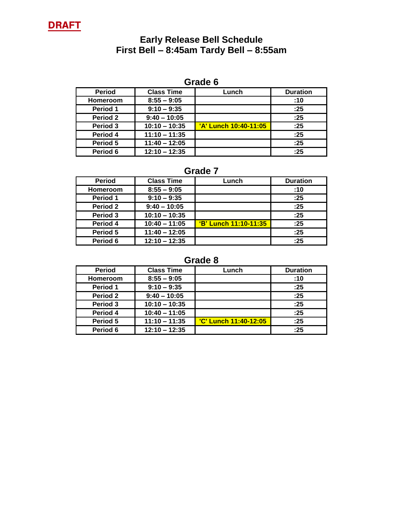

## **Early Release Bell Schedule First Bell – 8:45am Tardy Bell – 8:55am**

# **Grade 6**

| <b>Period</b>   | <b>Class Time</b> | Lunch                 | <b>Duration</b> |
|-----------------|-------------------|-----------------------|-----------------|
| <b>Homeroom</b> | $8:55 - 9:05$     |                       | :10             |
| Period 1        | $9:10 - 9:35$     |                       | :25             |
| Period 2        | $9:40 - 10:05$    |                       | :25             |
| Period 3        | $10:10 - 10:35$   | 'A' Lunch 10:40-11:05 | :25             |
| Period 4        | $11:10 - 11:35$   |                       | :25             |
| Period 5        | $11:40 - 12:05$   |                       | :25             |
| Period 6        | $12:10 - 12:35$   |                       | :25             |

## **Grade 7**

| <b>Period</b>   | <b>Class Time</b> | Lunch                 | <b>Duration</b> |
|-----------------|-------------------|-----------------------|-----------------|
| <b>Homeroom</b> | $8:55 - 9:05$     |                       | :10             |
| Period 1        | $9:10 - 9:35$     |                       | :25             |
| Period 2        | $9:40 - 10:05$    |                       | :25             |
| Period 3        | $10:10 - 10:35$   |                       | :25             |
| Period 4        | $10:40 - 11:05$   | 'B' Lunch 11:10-11:35 | :25             |
| Period 5        | $11:40 - 12:05$   |                       | :25             |
| Period 6        | $12:10 - 12:35$   |                       | :25             |

**Grade 8**

| <b>Period</b>   | <b>Class Time</b> | Lunch                        | <b>Duration</b> |
|-----------------|-------------------|------------------------------|-----------------|
| <b>Homeroom</b> | $8:55 - 9:05$     |                              | :10             |
| Period 1        | $9:10 - 9:35$     |                              | :25             |
| Period 2        | $9:40 - 10:05$    |                              | :25             |
| Period 3        | $10:10 - 10:35$   |                              | :25             |
| Period 4        | $10:40 - 11:05$   |                              | :25             |
| Period 5        | $11:10 - 11:35$   | <b>'C' Lunch 11:40-12:05</b> | :25             |
| Period 6        | $12:10 - 12:35$   |                              | :25             |